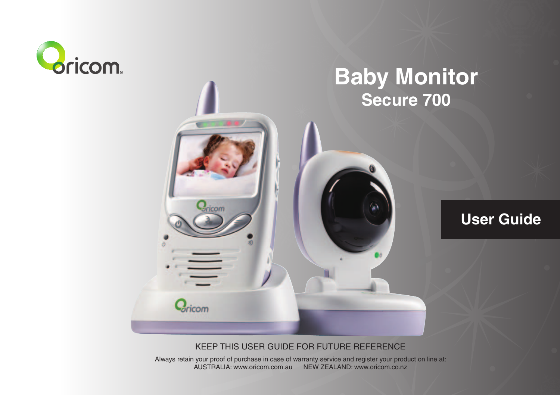

# **Baby Monitor Secure 700**

# **User Guide**

#### KEEP THIS USER GUIDE FOR FUTURE REFERENCE

**Bricom** 

Always retain your proof of purchase in case of warranty service and register your product on line at: AUSTRALIA: www.oricom.com.au NEW ZEALAND: www.oricom.co.nz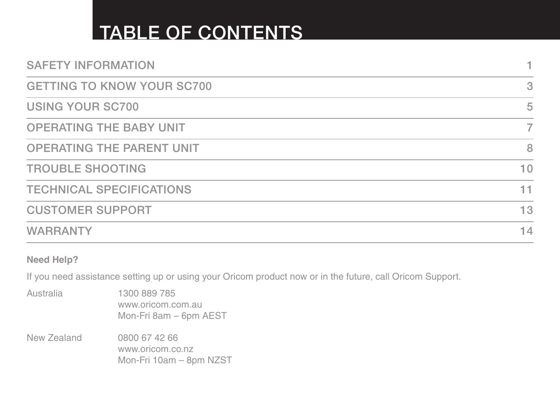# TABLE OF CONTENTS

| <b>SAFETY INFORMATION</b>         |    |
|-----------------------------------|----|
| <b>GETTING TO KNOW YOUR SC700</b> | 3  |
| <b>USING YOUR SC700</b>           | 5  |
| <b>OPERATING THE BABY UNIT</b>    | 7  |
| <b>OPERATING THE PARENT UNIT</b>  | 8  |
| <b>TROUBLE SHOOTING</b>           | 10 |
| <b>TECHNICAL SPECIFICATIONS</b>   | 11 |
| <b>CUSTOMER SUPPORT</b>           | 13 |
| <b>WARRANTY</b>                   | 14 |
|                                   |    |

**Need Help?**

If you need assistance setting up or using your Oricom product now or in the future, call Oricom Support.

Australia 1300 889 785 www.oricom.com.au Mon-Fri 8am – 6pm AEST New Zealand 0800 67 42 66 www.oricom.co.nz Mon-Fri 10am – 8pm NZST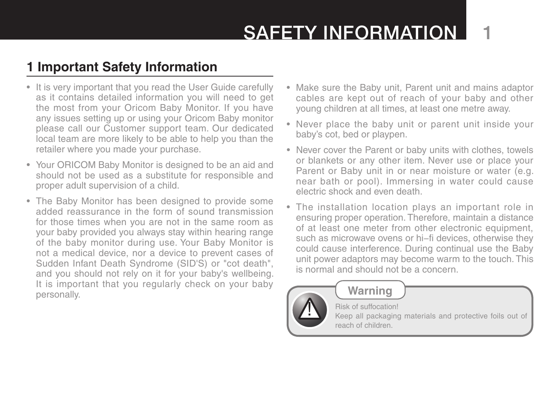# SAFFTY INFORMATION

# **1 Important Safety Information**

- It is very important that you read the User Guide carefully as it contains detailed information you will need to get the most from your Oricom Baby Monitor. If you have any issues setting up or using your Oricom Baby monitor please call our Customer support team. Our dedicated local team are more likely to be able to help you than the retailer where you made your purchase.
- Your ORICOM Baby Monitor is designed to be an aid and should not be used as a substitute for responsible and proper adult supervision of a child.
- The Baby Monitor has been designed to provide some added reassurance in the form of sound transmission for those times when you are not in the same room as your baby provided you always stay within hearing range of the baby monitor during use. Your Baby Monitor is not a medical device, nor a device to prevent cases of Sudden Infant Death Syndrome (SID'S) or "cot death", and you should not rely on it for your baby's wellbeing. It is important that you regularly check on your baby personally.
- Make sure the Baby unit, Parent unit and mains adaptor cables are kept out of reach of your baby and other young children at all times, at least one metre away.
- Never place the baby unit or parent unit inside your baby's cot, bed or playpen.
- Never cover the Parent or baby units with clothes, towels or blankets or any other item. Never use or place your Parent or Baby unit in or near moisture or water (e.g. near bath or pool). Immersing in water could cause electric shock and even death.
- The installation location plays an important role in ensuring proper operation. Therefore, maintain a distance of at least one meter from other electronic equipment, such as microwave ovens or hi−fi devices, otherwise they could cause interference. During continual use the Baby unit power adaptors may become warm to the touch. This is normal and should not be a concern.



### **Warning**

Risk of suffocation!

Keep all packaging materials and protective foils out of reach of children.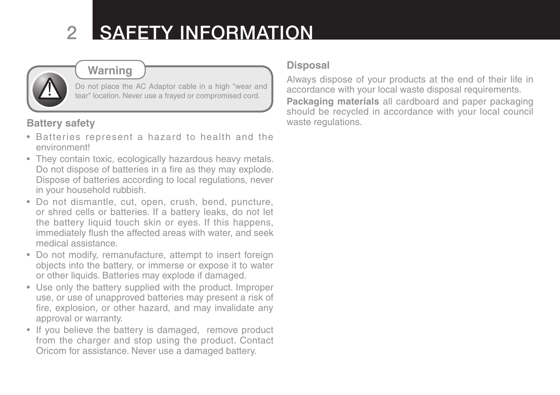# 2 Safety Information



## **Warning**

Do not place the AC Adaptor cable in a high "wear and tear" location. Never use a frayed or compromised cord.

### **Battery safety**

- Batteries represent a hazard to health and the environment!
- They contain toxic, ecologically hazardous heavy metals. Do not dispose of batteries in a fire as they may explode. Dispose of batteries according to local regulations, never in your household rubbish.
- Do not dismantle, cut, open, crush, bend, puncture, or shred cells or batteries. If a battery leaks, do not let the battery liquid touch skin or eyes. If this happens, immediately flush the affected areas with water, and seek medical assistance.
- Do not modify, remanufacture, attempt to insert foreign objects into the battery, or immerse or expose it to water or other liquids. Batteries may explode if damaged.
- Use only the battery supplied with the product. Improper use, or use of unapproved batteries may present a risk of fire, explosion, or other hazard, and may invalidate any approval or warranty.
- If you believe the battery is damaged, remove product from the charger and stop using the product. Contact Oricom for assistance. Never use a damaged battery.

#### **Disposal**

Always dispose of your products at the end of their life in accordance with your local waste disposal requirements. **Packaging materials** all cardboard and paper packaging should be recycled in accordance with your local council waste regulations.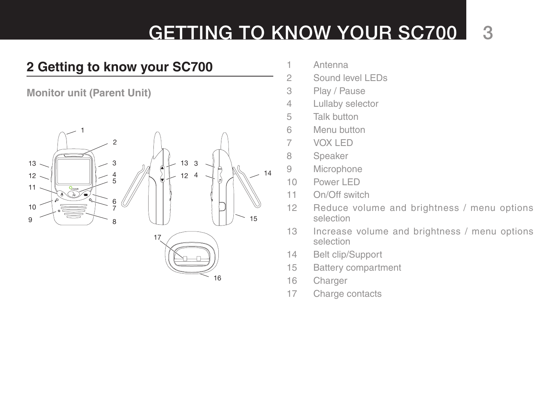# GETTING TO KNOW YOUR SC700 3

# **2 Getting to know your SC700**

**Monitor unit (Parent Unit)**



- Antenna
- Sound level LEDs
- Play / Pause
- Lullaby selector
- Talk button
- Menu button
- VOX LED
- Speaker
- Microphone
- Power LED
- On/Off switch
- Reduce volume and brightness / menu options selection
- Increase volume and brightness / menu options selection
- Belt clip/Support
- Battery compartment
- Charger
- Charge contacts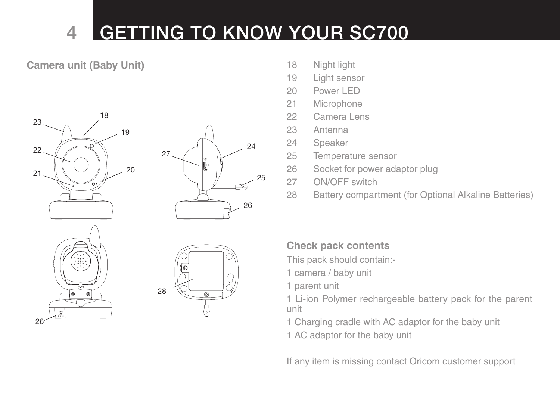# 4 Getting to Know your SC700

### **Camera unit (Baby Unit)** 18 Night light









- 
- 19 Light sensor
- 20 Power LED
- 21 Microphone
- 22 Camera Lens
- 23 Antenna
- 24 Speaker
- 25 Temperature sensor
- 26 Socket for power adaptor plug
- 27 ON/OFF switch
- 28 Battery compartment (for Optional Alkaline Batteries)

### **Check pack contents**

- This pack should contain:-
- 1 camera / baby unit
- 1 parent unit

1 Li-ion Polymer rechargeable battery pack for the parent unit

1 Charging cradle with AC adaptor for the baby unit

1 AC adaptor for the baby unit

If any item is missing contact Oricom customer support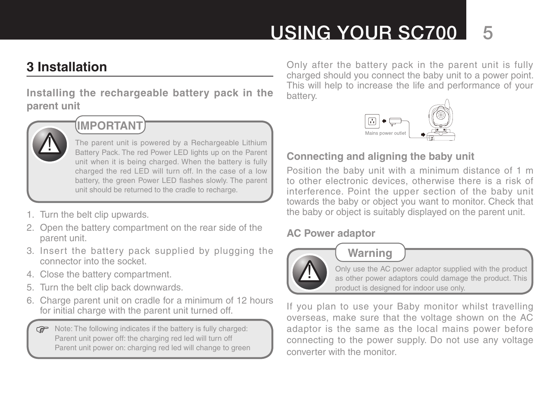# USING YOUR SC700

## **3 Installation**

**Installing the rechargeable battery pack in the parent unit**



# **IMPORTANT**

The parent unit is powered by a Rechargeable Lithium Battery Pack. The red Power LED lights up on the Parent unit when it is being charged. When the battery is fully charged the red LED will turn off. In the case of a low battery, the green Power LED flashes slowly. The parent unit should be returned to the cradle to recharge.

- 1. Turn the belt clip upwards.
- 2. Open the battery compartment on the rear side of the parent unit.
- 3. Insert the battery pack supplied by plugging the connector into the socket.
- 4. Close the battery compartment.
- 5. Turn the belt clip back downwards.
- 6. Charge parent unit on cradle for a minimum of 12 hours for initial charge with the parent unit turned off.

Note: The following indicates if the battery is fully charged: Parent unit power off: the charging red led will turn off Parent unit power on: charging red led will change to green

Only after the battery pack in the parent unit is fully charged should you connect the baby unit to a power point. This will help to increase the life and performance of your battery.



### **Connecting and aligning the baby unit**

Position the baby unit with a minimum distance of 1 m to other electronic devices, otherwise there is a risk of interference. Point the upper section of the baby unit towards the baby or object you want to monitor. Check that the baby or object is suitably displayed on the parent unit.

### **AC Power adaptor**



## **Warning**

Only use the AC power adaptor supplied with the product as other power adaptors could damage the product. This product is designed for indoor use only.

If you plan to use your Baby monitor whilst travelling overseas, make sure that the voltage shown on the AC adaptor is the same as the local mains power before connecting to the power supply. Do not use any voltage converter with the monitor.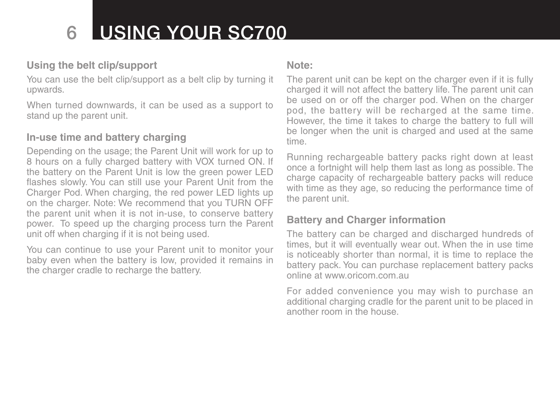# 6 Using your SC700

### **Using the belt clip/support**

You can use the belt clip/support as a belt clip by turning it upwards.

When turned downwards, it can be used as a support to stand up the parent unit.

#### **In-use time and battery charging**

Depending on the usage; the Parent Unit will work for up to 8 hours on a fully charged battery with VOX turned ON. If the battery on the Parent Unit is low the green power LED flashes slowly. You can still use your Parent Unit from the Charger Pod. When charging, the red power LED lights up on the charger. Note: We recommend that you TURN OFF the parent unit when it is not in-use, to conserve battery power. To speed up the charging process turn the Parent unit off when charging if it is not being used.

You can continue to use your Parent unit to monitor your baby even when the battery is low, provided it remains in the charger cradle to recharge the battery.

#### **Note:**

The parent unit can be kept on the charger even if it is fully charged it will not affect the battery life. The parent unit can be used on or off the charger pod. When on the charger pod, the battery will be recharged at the same time. However, the time it takes to charge the battery to full will be longer when the unit is charged and used at the same time.

Running rechargeable battery packs right down at least once a fortnight will help them last as long as possible. The charge capacity of rechargeable battery packs will reduce with time as they age, so reducing the performance time of the parent unit.

#### **Battery and Charger information**

The battery can be charged and discharged hundreds of times, but it will eventually wear out. When the in use time is noticeably shorter than normal, it is time to replace the battery pack. You can purchase replacement battery packs online at www.oricom.com.au

For added convenience you may wish to purchase an additional charging cradle for the parent unit to be placed in another room in the house.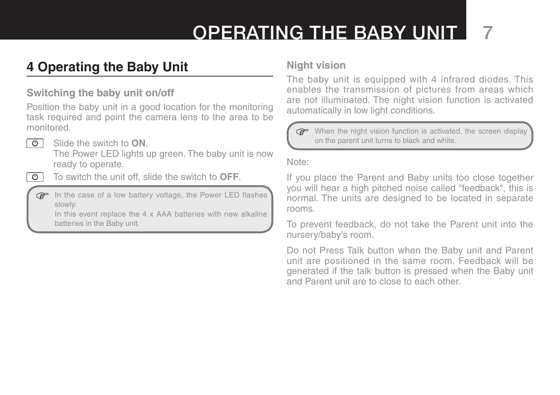# Operating the baby Unit 7

# **4 Operating the Baby Unit**

### **Switching the baby unit on/off**

Position the baby unit in a good location for the monitoring task required and point the camera lens to the area to be monitored.

- তা
- Slide the switch to **ON**.

The Power LED lights up green. The baby unit is now ready to operate.

- $\overline{O}$
- To switch the unit off, slide the switch to **OFF**.

In the case of a low battery voltage, the Power LED flashes slowly.

In this event replace the 4 x AAA batteries with new alkaline batteries in the Baby unit.

#### **Night vision**

The baby unit is equipped with 4 infrared diodes. This enables the transmission of pictures from areas which are not illuminated. The night vision function is activated automatically in low light conditions.

When the night vision function is activated, the screen display on the parent unit turns to black and white.

Note:

If you place the Parent and Baby units too close together you will hear a high pitched noise called "feedback", this is normal. The units are designed to be located in separate rooms.

To prevent feedback, do not take the Parent unit into the nursery/baby's room.

Do not Press Talk button when the Baby unit and Parent unit are positioned in the same room. Feedback will be generated if the talk button is pressed when the Baby unit and Parent unit are to close to each other.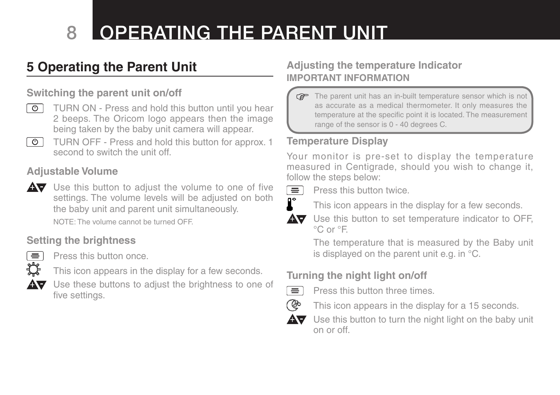# 8 OPERATING THE PARENT UNIT

# **5 Operating the Parent Unit**

### **Switching the parent unit on/off**

- TURN ON Press and hold this button until you hear  $\circ$  | 2 beeps. The Oricom logo appears then the image being taken by the baby unit camera will appear.
- TURN OFF Press and hold this button for approx. 1  $\overline{\circ}$ second to switch the unit off.

#### **Adjustable Volume**

AV Use this button to adjust the volume to one of five settings. The volume levels will be adjusted on both the baby unit and parent unit simultaneously.

NOTE: The volume cannot be turned OFF.

### **Setting the brightness**



Press this button once.

- This icon appears in the display for a few seconds.
- Use these buttons to adjust the brightness to one of five settings.

### **Adjusting the temperature Indicator IMPORTANT INFORMATION**

The parent unit has an in-built temperature sensor which is not **P** as accurate as a medical thermometer. It only measures the temperature at the specific point it is located. The measurement range of the sensor is 0 - 40 degrees C.

### **Temperature Display**

Your monitor is pre-set to display the temperature measured in Centigrade, should you wish to change it, follow the steps below:



Press this button twice.

This icon appears in the display for a few seconds.

Use this button to set temperature indicator to OFF, AV. °C or °F.

> The temperature that is measured by the Baby unit is displayed on the parent unit e.g. in °C.

### **Turning the night light on/off**

- $\equiv$ ිල
	- Press this button three times.



AV. Use this button to turn the night light on the baby unit on or off.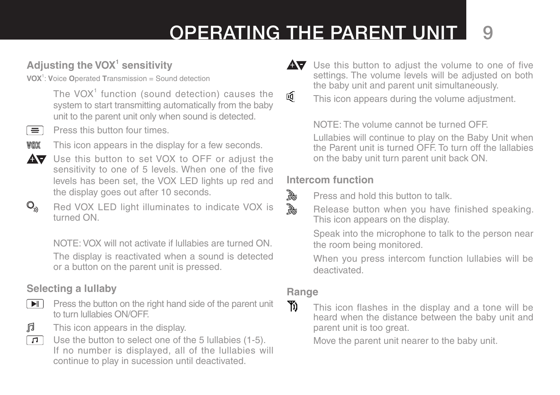# Operating the Parent Unit 9

## **Adjusting the VOX1 sensitivity**

**VOX**<sup>1</sup> : **V**oice **O**perated **T**ransmission = Sound detection

The VOX $1$  function (sound detection) causes the system to start transmitting automatically from the baby unit to the parent unit only when sound is detected.

ਵ

Press this button four times.



 $\mathbb{Q}_{\mathfrak{N}}$ 

This icon appears in the display for a few seconds.



Red VOX LED light illuminates to indicate VOX is turned ON.

NOTE: VOX will not activate if lullabies are turned ON. The display is reactivated when a sound is detected or a button on the parent unit is pressed.

## **Selecting a lullaby**



 $\boxed{\blacktriangleright}$  Press the button on the right hand side of the parent unit to turn lullabies ON/OFF.

- 肩
- This icon appears in the display.
- Use the button to select one of the 5 lullabies (1-5).  $\Box$ If no number is displayed, all of the lullabies will continue to play in sucession until deactivated.

 $\overline{\mathbf{A}}$  Use this button to adjust the volume to one of five settings. The volume levels will be adjusted on both the baby unit and parent unit simultaneously. 硘

This icon appears during the volume adjustment.

NOTE: The volume cannot be turned OFF.

Lullabies will continue to play on the Baby Unit when the Parent unit is turned OFF. To turn off the lallabies on the baby unit turn parent unit back ON.

### **Intercom function**

Press and hold this button to talk.

Release button when you have finished speaking. This icon appears on the display.

Speak into the microphone to talk to the person near the room being monitored.

When you press intercom function lullabies will be deactivated.

### **Range**

D,

 $\mathbb{B}$ 

Yi)

This icon flashes in the display and a tone will be heard when the distance between the baby unit and parent unit is too great.

Move the parent unit nearer to the baby unit.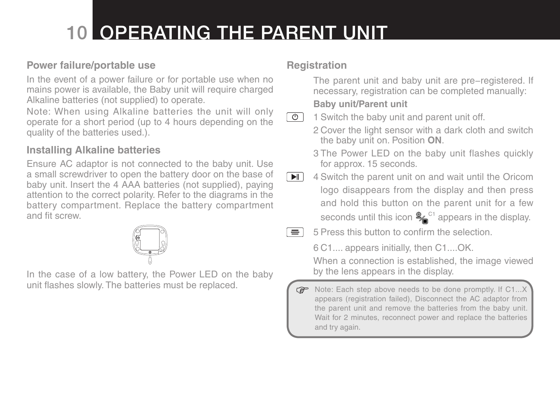# 10 Operating the Parent Unit

### **Power failure/portable use**

In the event of a power failure or for portable use when no mains power is available, the Baby unit will require charged Alkaline batteries (not supplied) to operate.

Note: When using Alkaline batteries the unit will only operate for a short period (up to 4 hours depending on the quality of the batteries used.).

### **Installing Alkaline batteries**

Ensure AC adaptor is not connected to the baby unit. Use a small screwdriver to open the battery door on the base of baby unit. Insert the 4 AAA batteries (not supplied), paying attention to the correct polarity. Refer to the diagrams in the battery compartment. Replace the battery compartment and fit screw.

In the case of a low battery, the Power LED on the baby unit flashes slowly. The batteries must be replaced.

### **Registration**

The parent unit and baby unit are pre−registered. If necessary, registration can be completed manually: **Baby unit/Parent unit**

1 Switch the baby unit and parent unit off.  $\overline{\circ}$ 

2 Cover the light sensor with a dark cloth and switch the baby unit on. Position **ON**.

- 3 The Power LED on the baby unit flashes quickly for approx. 15 seconds.
- $\blacksquare$ 4 Switch the parent unit on and wait until the Oricom logo disappears from the display and then press and hold this button on the parent unit for a few seconds until this icon  $\frac{2}{10}$ <sup>c1</sup> appears in the display.
- 5 Press this button to confirm the selection.  $=$   $\overline{ }$

6 C1.... appears initially, then C1....OK.

When a connection is established, the image viewed by the lens appears in the display.

Note: Each step above needs to be done promptly. If  $C1...X$ appears (registration failed), Disconnect the AC adaptor from the parent unit and remove the batteries from the baby unit. Wait for 2 minutes, reconnect power and replace the batteries and try again.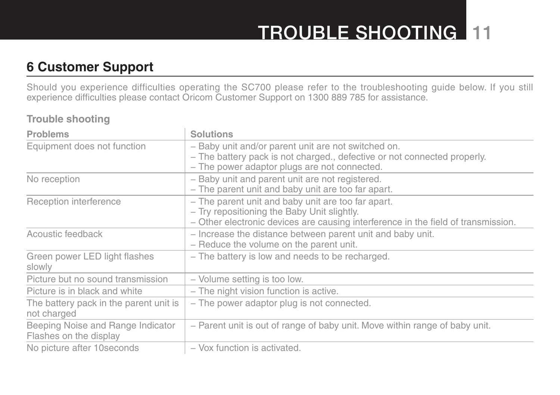# TROUBLE SHOOTING 11

## **6 Customer Support**

Should you experience difficulties operating the SC700 please refer to the troubleshooting guide below. If you still experience difficulties please contact Oricom Customer Support on 1300 889 785 for assistance.

#### **Trouble shooting**

| <b>Problems</b>                                             | <b>Solutions</b>                                                                                                                                                                       |
|-------------------------------------------------------------|----------------------------------------------------------------------------------------------------------------------------------------------------------------------------------------|
| Equipment does not function                                 | - Baby unit and/or parent unit are not switched on.<br>- The battery pack is not charged., defective or not connected properly.<br>- The power adaptor plugs are not connected.        |
| No reception                                                | - Baby unit and parent unit are not registered.<br>- The parent unit and baby unit are too far apart.                                                                                  |
| Reception interference                                      | - The parent unit and baby unit are too far apart.<br>- Try repositioning the Baby Unit slightly.<br>- Other electronic devices are causing interference in the field of transmission. |
| Acoustic feedback                                           | - Increase the distance between parent unit and baby unit.<br>- Reduce the volume on the parent unit.                                                                                  |
| Green power LED light flashes<br>slowly                     | - The battery is low and needs to be recharged.                                                                                                                                        |
| Picture but no sound transmission                           | - Volume setting is too low.                                                                                                                                                           |
| Picture is in black and white                               | - The night vision function is active.                                                                                                                                                 |
| The battery pack in the parent unit is<br>not charged       | - The power adaptor plug is not connected.                                                                                                                                             |
| Beeping Noise and Range Indicator<br>Flashes on the display | - Parent unit is out of range of baby unit. Move within range of baby unit.                                                                                                            |
| No picture after 10 seconds                                 | - Vox function is activated.                                                                                                                                                           |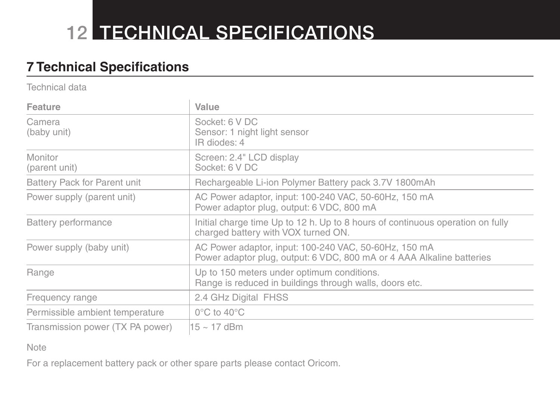# **12 TECHNICAL SPECIFICATIONS**

# **7 Technical Specifications**

Technical data

| <b>Feature</b>                   | Value                                                                                                                          |
|----------------------------------|--------------------------------------------------------------------------------------------------------------------------------|
| Camera<br>(baby unit)            | Socket: 6 V DC<br>Sensor: 1 night light sensor<br>IR diodes: 4                                                                 |
| Monitor<br>(parent unit)         | Screen: 2.4" LCD display<br>Socket: 6 V DC                                                                                     |
| Battery Pack for Parent unit     | Rechargeable Li-ion Polymer Battery pack 3.7V 1800mAh                                                                          |
| Power supply (parent unit)       | AC Power adaptor, input: 100-240 VAC, 50-60Hz, 150 mA<br>Power adaptor plug, output: 6 VDC, 800 mA                             |
| Battery performance              | Initial charge time Up to 12 h. Up to 8 hours of continuous operation on fully<br>charged battery with VOX turned ON.          |
| Power supply (baby unit)         | AC Power adaptor, input: 100-240 VAC, 50-60Hz, 150 mA<br>Power adaptor plug, output: 6 VDC, 800 mA or 4 AAA Alkaline batteries |
| Range                            | Up to 150 meters under optimum conditions.<br>Range is reduced in buildings through walls, doors etc.                          |
| Frequency range                  | 2.4 GHz Digital FHSS                                                                                                           |
| Permissible ambient temperature  | $0^{\circ}$ C to 40 $^{\circ}$ C                                                                                               |
| Transmission power (TX PA power) | $15 \sim 17$ dBm                                                                                                               |

Note

For a replacement battery pack or other spare parts please contact Oricom.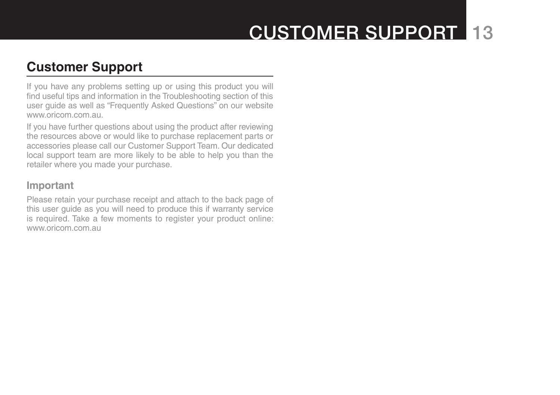# Customer Support 13

## **Customer Support**

If you have any problems setting up or using this product you will find useful tips and information in the Troubleshooting section of this user guide as well as "Frequently Asked Questions" on our website www.oricom.com.au.

If you have further questions about using the product after reviewing the resources above or would like to purchase replacement parts or accessories please call our Customer Support Team. Our dedicated local support team are more likely to be able to help you than the retailer where you made your purchase.

#### **Important**

Please retain your purchase receipt and attach to the back page of this user guide as you will need to produce this if warranty service is required. Take a few moments to register your product online: www.oricom.com.au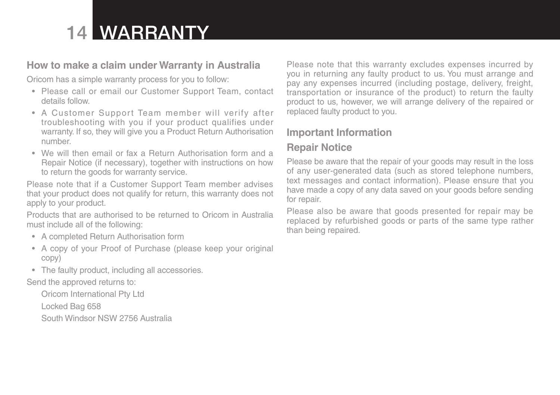# 14 Warranty

#### **How to make a claim under Warranty in Australia**

Oricom has a simple warranty process for you to follow:

- Please call or email our Customer Support Team, contact details follow.
- A Customer Support Team member will verify after troubleshooting with you if your product qualifies under warranty. If so, they will give you a Product Return Authorisation number.
- • We will then email or fax a Return Authorisation form and a Repair Notice (if necessary), together with instructions on how to return the goods for warranty service.

Please note that if a Customer Support Team member advises that your product does not qualify for return, this warranty does not apply to your product.

Products that are authorised to be returned to Oricom in Australia must include all of the following:

- A completed Return Authorisation form
- A copy of your Proof of Purchase (please keep your original copy)
- The faulty product, including all accessories.

Send the approved returns to:

Oricom International Pty Ltd

Locked Bag 658

South Windsor NSW 2756 Australia

Please note that this warranty excludes expenses incurred by you in returning any faulty product to us. You must arrange and pay any expenses incurred (including postage, delivery, freight, transportation or insurance of the product) to return the faulty product to us, however, we will arrange delivery of the repaired or replaced faulty product to you.

## **Important Information**

### **Repair Notice**

Please be aware that the repair of your goods may result in the loss of any user-generated data (such as stored telephone numbers, text messages and contact information). Please ensure that you have made a copy of any data saved on your goods before sending for repair.

Please also be aware that goods presented for repair may be replaced by refurbished goods or parts of the same type rather than being repaired.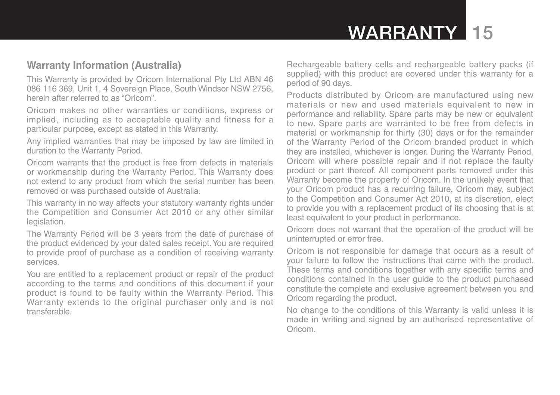# WARRANTY 15

#### **Warranty Information (Australia)**

This Warranty is provided by Oricom International Pty Ltd ABN 46 086 116 369, Unit 1, 4 Sovereign Place, South Windsor NSW 2756, herein after referred to as "Oricom".

Oricom makes no other warranties or conditions, express or implied, including as to acceptable quality and fitness for a particular purpose, except as stated in this Warranty.

Any implied warranties that may be imposed by law are limited in duration to the Warranty Period.

Oricom warrants that the product is free from defects in materials or workmanship during the Warranty Period. This Warranty does not extend to any product from which the serial number has been removed or was purchased outside of Australia.

This warranty in no way affects your statutory warranty rights under the Competition and Consumer Act 2010 or any other similar legislation.

The Warranty Period will be 3 years from the date of purchase of the product evidenced by your dated sales receipt.You are required to provide proof of purchase as a condition of receiving warranty services.

You are entitled to a replacement product or repair of the product according to the terms and conditions of this document if your product is found to be faulty within the Warranty Period. This Warranty extends to the original purchaser only and is not transferable.

Rechargeable battery cells and rechargeable battery packs (if supplied) with this product are covered under this warranty for a period of 90 days.

Products distributed by Oricom are manufactured using new materials or new and used materials equivalent to new in performance and reliability. Spare parts may be new or equivalent to new. Spare parts are warranted to be free from defects in material or workmanship for thirty (30) days or for the remainder of the Warranty Period of the Oricom branded product in which they are installed, whichever is longer. During the Warranty Period, Oricom will where possible repair and if not replace the faulty product or part thereof. All component parts removed under this Warranty become the property of Oricom. In the unlikely event that your Oricom product has a recurring failure, Oricom may, subject to the Competition and Consumer Act 2010, at its discretion, elect to provide you with a replacement product of its choosing that is at least equivalent to your product in performance.

Oricom does not warrant that the operation of the product will be uninterrupted or error free.

Oricom is not responsible for damage that occurs as a result of your failure to follow the instructions that came with the product. These terms and conditions together with any specific terms and conditions contained in the user guide to the product purchased constitute the complete and exclusive agreement between you and Oricom regarding the product.

No change to the conditions of this Warranty is valid unless it is made in writing and signed by an authorised representative of Oricom.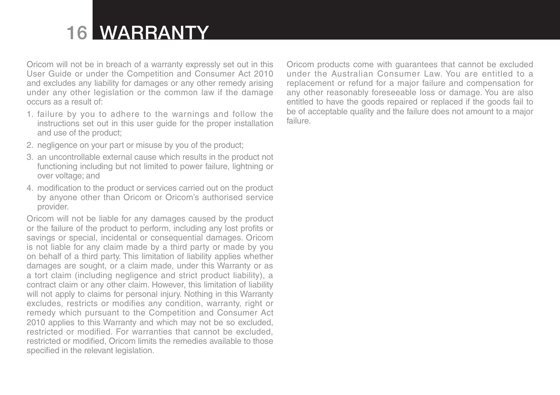# 16 Warranty

Oricom will not be in breach of a warranty expressly set out in this User Guide or under the Competition and Consumer Act 2010 and excludes any liability for damages or any other remedy arising under any other legislation or the common law if the damage occurs as a result of:

- 1. failure by you to adhere to the warnings and follow the instructions set out in this user guide for the proper installation and use of the product;
- 2. negligence on your part or misuse by you of the product;
- 3. an uncontrollable external cause which results in the product not functioning including but not limited to power failure, lightning or over voltage; and
- 4. modification to the product or services carried out on the product by anyone other than Oricom or Oricom's authorised service provider.

Oricom will not be liable for any damages caused by the product or the failure of the product to perform, including any lost profits or savings or special, incidental or consequential damages. Oricom is not liable for any claim made by a third party or made by you on behalf of a third party. This limitation of liability applies whether damages are sought, or a claim made, under this Warranty or as a tort claim (including negligence and strict product liability), a contract claim or any other claim. However, this limitation of liability will not apply to claims for personal injury. Nothing in this Warranty excludes, restricts or modifies any condition, warranty, right or remedy which pursuant to the Competition and Consumer Act 2010 applies to this Warranty and which may not be so excluded, restricted or modified. For warranties that cannot be excluded, restricted or modified, Oricom limits the remedies available to those specified in the relevant legislation.

Oricom products come with guarantees that cannot be excluded under the Australian Consumer Law. You are entitled to a replacement or refund for a major failure and compensation for any other reasonably foreseeable loss or damage. You are also entitled to have the goods repaired or replaced if the goods fail to be of acceptable quality and the failure does not amount to a major failure.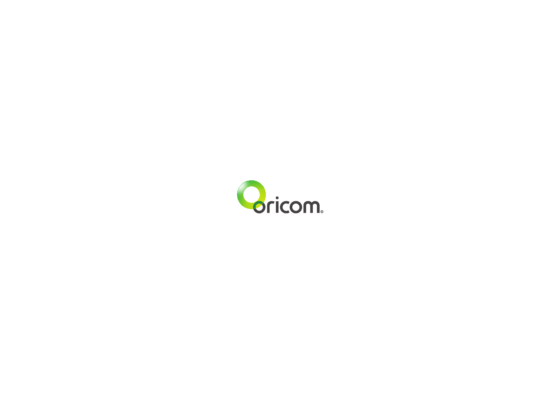